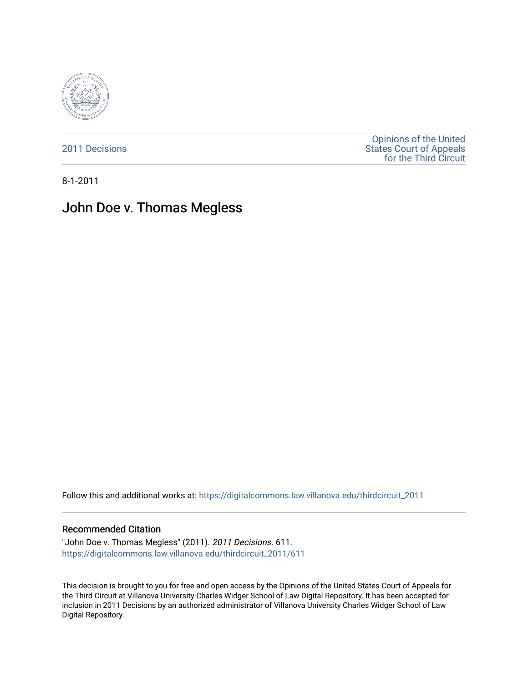

[2011 Decisions](https://digitalcommons.law.villanova.edu/thirdcircuit_2011)

[Opinions of the United](https://digitalcommons.law.villanova.edu/thirdcircuit)  [States Court of Appeals](https://digitalcommons.law.villanova.edu/thirdcircuit)  [for the Third Circuit](https://digitalcommons.law.villanova.edu/thirdcircuit) 

8-1-2011

# John Doe v. Thomas Megless

Follow this and additional works at: [https://digitalcommons.law.villanova.edu/thirdcircuit\\_2011](https://digitalcommons.law.villanova.edu/thirdcircuit_2011?utm_source=digitalcommons.law.villanova.edu%2Fthirdcircuit_2011%2F611&utm_medium=PDF&utm_campaign=PDFCoverPages) 

### Recommended Citation

"John Doe v. Thomas Megless" (2011). 2011 Decisions. 611. [https://digitalcommons.law.villanova.edu/thirdcircuit\\_2011/611](https://digitalcommons.law.villanova.edu/thirdcircuit_2011/611?utm_source=digitalcommons.law.villanova.edu%2Fthirdcircuit_2011%2F611&utm_medium=PDF&utm_campaign=PDFCoverPages)

This decision is brought to you for free and open access by the Opinions of the United States Court of Appeals for the Third Circuit at Villanova University Charles Widger School of Law Digital Repository. It has been accepted for inclusion in 2011 Decisions by an authorized administrator of Villanova University Charles Widger School of Law Digital Repository.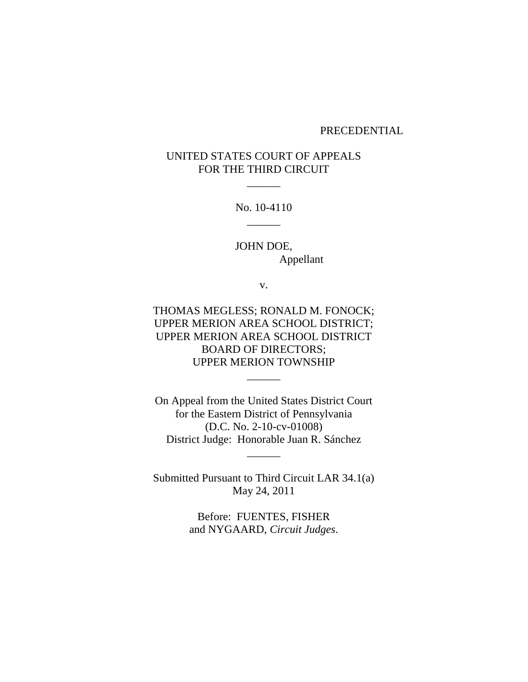### PRECEDENTIAL

## UNITED STATES COURT OF APPEALS FOR THE THIRD CIRCUIT

 $\overline{\phantom{a}}$ 

No. 10-4110  $\overline{\phantom{a}}$ 

JOHN DOE, Appellant

v.

THOMAS MEGLESS; RONALD M. FONOCK; UPPER MERION AREA SCHOOL DISTRICT; UPPER MERION AREA SCHOOL DISTRICT BOARD OF DIRECTORS; UPPER MERION TOWNSHIP

 $\overline{\phantom{a}}$ 

On Appeal from the United States District Court for the Eastern District of Pennsylvania (D.C. No. 2-10-cv-01008) District Judge: Honorable Juan R. Sánchez

 $\overline{\phantom{a}}$ 

Submitted Pursuant to Third Circuit LAR 34.1(a) May 24, 2011

> Before: FUENTES, FISHER and NYGAARD, *Circuit Judges*.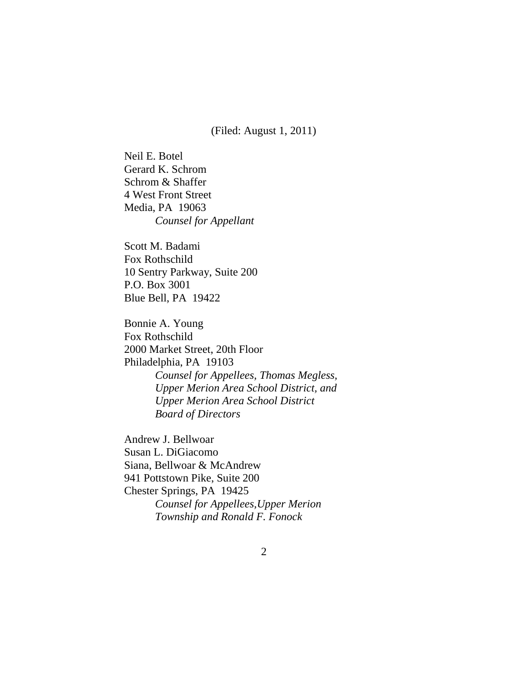(Filed: August 1, 2011)

Neil E. Botel Gerard K. Schrom Schrom & Shaffer 4 West Front Street Media, PA 19063 *Counsel for Appellant*

Scott M. Badami Fox Rothschild 10 Sentry Parkway, Suite 200 P.O. Box 3001 Blue Bell, PA 19422

Bonnie A. Young Fox Rothschild 2000 Market Street, 20th Floor Philadelphia, PA 19103 *Counsel for Appellees, Thomas Megless, Upper Merion Area School District, and Upper Merion Area School District Board of Directors*

Andrew J. Bellwoar Susan L. DiGiacomo Siana, Bellwoar & McAndrew 941 Pottstown Pike, Suite 200 Chester Springs, PA 19425 *Counsel for Appellees,Upper Merion Township and Ronald F. Fonock*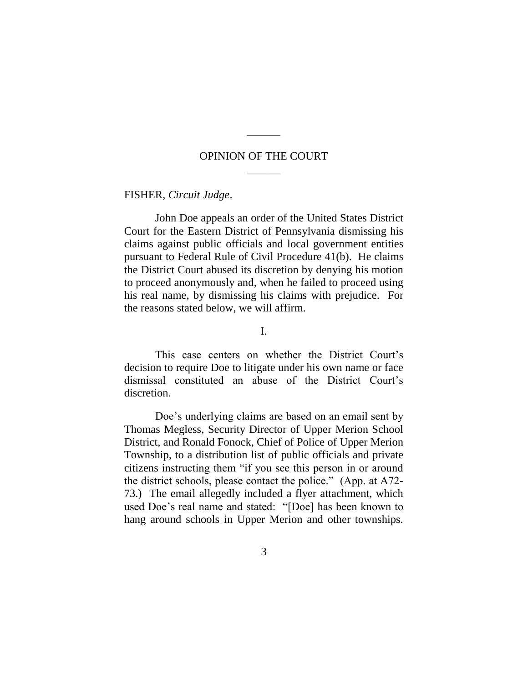### OPINION OF THE COURT  $\overline{\phantom{a}}$

 $\overline{\phantom{a}}$ 

FISHER, *Circuit Judge*.

John Doe appeals an order of the United States District Court for the Eastern District of Pennsylvania dismissing his claims against public officials and local government entities pursuant to Federal Rule of Civil Procedure 41(b). He claims the District Court abused its discretion by denying his motion to proceed anonymously and, when he failed to proceed using his real name, by dismissing his claims with prejudice. For the reasons stated below, we will affirm.

I.

This case centers on whether the District Court's decision to require Doe to litigate under his own name or face dismissal constituted an abuse of the District Court"s discretion.

Doe"s underlying claims are based on an email sent by Thomas Megless, Security Director of Upper Merion School District, and Ronald Fonock, Chief of Police of Upper Merion Township, to a distribution list of public officials and private citizens instructing them "if you see this person in or around the district schools, please contact the police." (App. at A72- 73.) The email allegedly included a flyer attachment, which used Doe"s real name and stated: "[Doe] has been known to hang around schools in Upper Merion and other townships.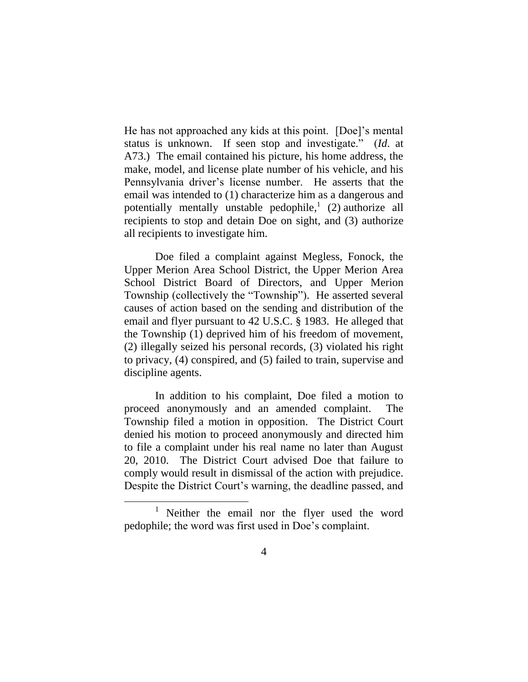He has not approached any kids at this point. [Doe]"s mental status is unknown. If seen stop and investigate." (*Id*. at A73.) The email contained his picture, his home address, the make, model, and license plate number of his vehicle, and his Pennsylvania driver"s license number. He asserts that the email was intended to (1) characterize him as a dangerous and potentially mentally unstable pedophile,<sup>1</sup> (2) authorize all recipients to stop and detain Doe on sight, and (3) authorize all recipients to investigate him.

Doe filed a complaint against Megless, Fonock, the Upper Merion Area School District, the Upper Merion Area School District Board of Directors, and Upper Merion Township (collectively the "Township"). He asserted several causes of action based on the sending and distribution of the email and flyer pursuant to 42 U.S.C. § 1983. He alleged that the Township (1) deprived him of his freedom of movement, (2) illegally seized his personal records, (3) violated his right to privacy, (4) conspired, and (5) failed to train, supervise and discipline agents.

In addition to his complaint, Doe filed a motion to proceed anonymously and an amended complaint. The Township filed a motion in opposition. The District Court denied his motion to proceed anonymously and directed him to file a complaint under his real name no later than August 20, 2010. The District Court advised Doe that failure to comply would result in dismissal of the action with prejudice. Despite the District Court's warning, the deadline passed, and

<sup>&</sup>lt;sup>1</sup> Neither the email nor the flyer used the word pedophile; the word was first used in Doe"s complaint.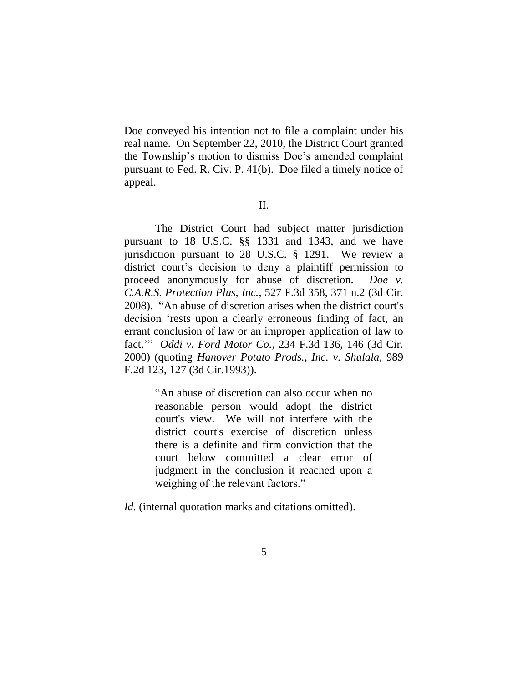Doe conveyed his intention not to file a complaint under his real name. On September 22, 2010, the District Court granted the Township"s motion to dismiss Doe"s amended complaint pursuant to Fed. R. Civ. P. 41(b). Doe filed a timely notice of appeal.

II.

The District Court had subject matter jurisdiction pursuant to 18 U.S.C. §§ 1331 and 1343, and we have jurisdiction pursuant to 28 U.S.C. § 1291. We review a district court's decision to deny a plaintiff permission to proceed anonymously for abuse of discretion. *Doe v. C.A.R.S. Protection Plus, Inc.*, 527 F.3d 358, 371 n.2 (3d Cir. 2008). "An abuse of discretion arises when the district court's decision "rests upon a clearly erroneous finding of fact, an errant conclusion of law or an improper application of law to fact."" *Oddi v. Ford Motor Co.*, 234 F.3d 136, 146 (3d Cir. 2000) (quoting *Hanover Potato Prods., Inc. v. Shalala*, 989 F.2d 123, 127 (3d Cir.1993)).

> "An abuse of discretion can also occur when no reasonable person would adopt the district court's view. We will not interfere with the district court's exercise of discretion unless there is a definite and firm conviction that the court below committed a clear error of judgment in the conclusion it reached upon a weighing of the relevant factors."

*Id.* (internal quotation marks and citations omitted).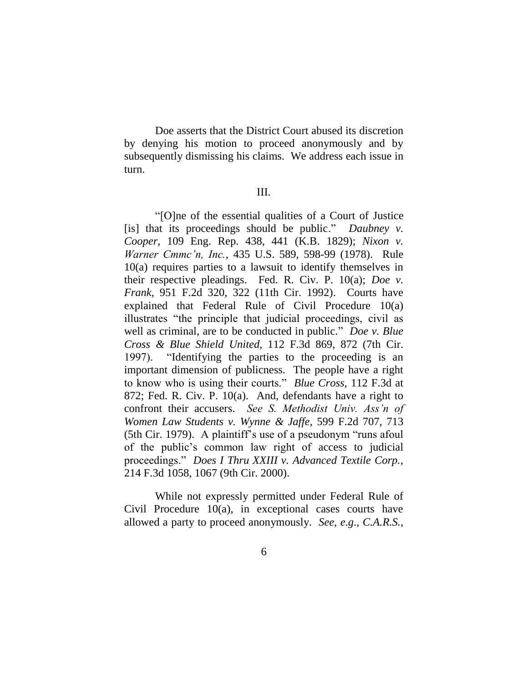Doe asserts that the District Court abused its discretion by denying his motion to proceed anonymously and by subsequently dismissing his claims. We address each issue in turn.

### III.

"[O]ne of the essential qualities of a Court of Justice [is] that its proceedings should be public." *Daubney v. Cooper*, 109 Eng. Rep. 438, 441 (K.B. 1829); *Nixon v. Warner Cmmc'n, Inc.*, 435 U.S. 589, 598-99 (1978). Rule 10(a) requires parties to a lawsuit to identify themselves in their respective pleadings. Fed. R. Civ. P. 10(a); *Doe v. Frank*, 951 F.2d 320, 322 (11th Cir. 1992). Courts have explained that Federal Rule of Civil Procedure 10(a) illustrates "the principle that judicial proceedings, civil as well as criminal, are to be conducted in public." *Doe v. Blue Cross & Blue Shield United*, 112 F.3d 869, 872 (7th Cir. 1997). "Identifying the parties to the proceeding is an important dimension of publicness. The people have a right to know who is using their courts." *Blue Cross*, 112 F.3d at 872; Fed. R. Civ. P. 10(a). And, defendants have a right to confront their accusers. *See S. Methodist Univ. Ass'n of Women Law Students v. Wynne & Jaffe*, 599 F.2d 707, 713 (5th Cir. 1979). A plaintiff"s use of a pseudonym "runs afoul of the public"s common law right of access to judicial proceedings." *Does I Thru XXIII v. Advanced Textile Corp.*, 214 F.3d 1058, 1067 (9th Cir. 2000).

While not expressly permitted under Federal Rule of Civil Procedure 10(a), in exceptional cases courts have allowed a party to proceed anonymously. *See*, *e.g*., *C.A.R.S.*,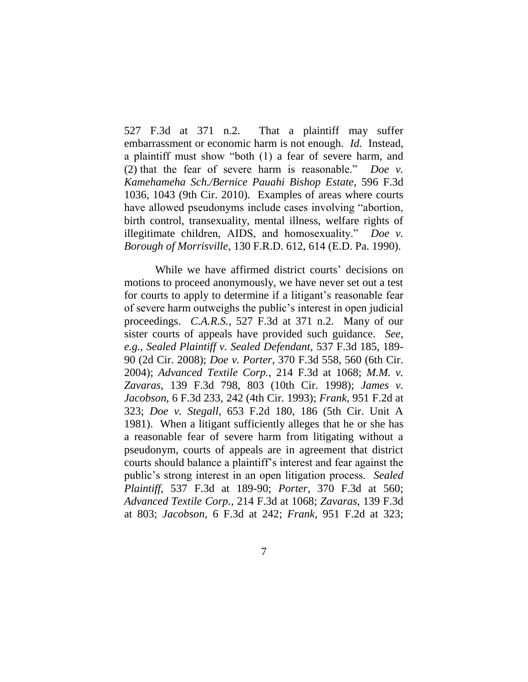527 F.3d at 371 n.2. That a plaintiff may suffer embarrassment or economic harm is not enough. *Id.* Instead, a plaintiff must show "both (1) a fear of severe harm, and (2) that the fear of severe harm is reasonable." *Doe v. Kamehameha Sch./Bernice Pauahi Bishop Estate*, 596 F.3d 1036, 1043 (9th Cir. 2010). Examples of areas where courts have allowed pseudonyms include cases involving "abortion, birth control, transexuality, mental illness, welfare rights of illegitimate children, AIDS, and homosexuality." *Doe v. Borough of Morrisville*, 130 F.R.D. 612, 614 (E.D. Pa. 1990).

While we have affirmed district courts' decisions on motions to proceed anonymously, we have never set out a test for courts to apply to determine if a litigant's reasonable fear of severe harm outweighs the public"s interest in open judicial proceedings. *C.A.R.S.*, 527 F.3d at 371 n.2. Many of our sister courts of appeals have provided such guidance. *See*, *e.g.*, *Sealed Plaintiff v. Sealed Defendant*, 537 F.3d 185, 189- 90 (2d Cir. 2008); *Doe v. Porter*, 370 F.3d 558, 560 (6th Cir. 2004); *Advanced Textile Corp.*, 214 F.3d at 1068; *M.M. v. Zavaras*, 139 F.3d 798, 803 (10th Cir. 1998); *James v. Jacobson*, 6 F.3d 233, 242 (4th Cir. 1993); *Frank*, 951 F.2d at 323; *Doe v. Stegall*, 653 F.2d 180, 186 (5th Cir. Unit A 1981). When a litigant sufficiently alleges that he or she has a reasonable fear of severe harm from litigating without a pseudonym, courts of appeals are in agreement that district courts should balance a plaintiff"s interest and fear against the public"s strong interest in an open litigation process. *Sealed Plaintiff*, 537 F.3d at 189-90; *Porter*, 370 F.3d at 560; *Advanced Textile Corp.*, 214 F.3d at 1068; *Zavaras*, 139 F.3d at 803; *Jacobson*, 6 F.3d at 242; *Frank*, 951 F.2d at 323;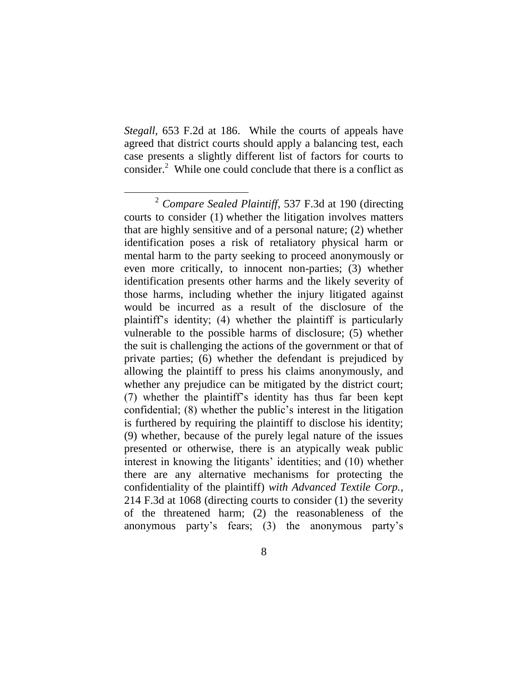*Stegall*, 653 F.2d at 186. While the courts of appeals have agreed that district courts should apply a balancing test, each case presents a slightly different list of factors for courts to consider. $2$  While one could conclude that there is a conflict as

<sup>2</sup> *Compare Sealed Plaintiff*, 537 F.3d at 190 (directing courts to consider (1) whether the litigation involves matters that are highly sensitive and of a personal nature; (2) whether identification poses a risk of retaliatory physical harm or mental harm to the party seeking to proceed anonymously or even more critically, to innocent non-parties; (3) whether identification presents other harms and the likely severity of those harms, including whether the injury litigated against would be incurred as a result of the disclosure of the plaintiff"s identity; (4) whether the plaintiff is particularly vulnerable to the possible harms of disclosure; (5) whether the suit is challenging the actions of the government or that of private parties; (6) whether the defendant is prejudiced by allowing the plaintiff to press his claims anonymously, and whether any prejudice can be mitigated by the district court; (7) whether the plaintiff"s identity has thus far been kept confidential; (8) whether the public"s interest in the litigation is furthered by requiring the plaintiff to disclose his identity; (9) whether, because of the purely legal nature of the issues presented or otherwise, there is an atypically weak public interest in knowing the litigants' identities; and (10) whether there are any alternative mechanisms for protecting the confidentiality of the plaintiff) *with Advanced Textile Corp.*, 214 F.3d at 1068 (directing courts to consider (1) the severity of the threatened harm; (2) the reasonableness of the anonymous party"s fears; (3) the anonymous party"s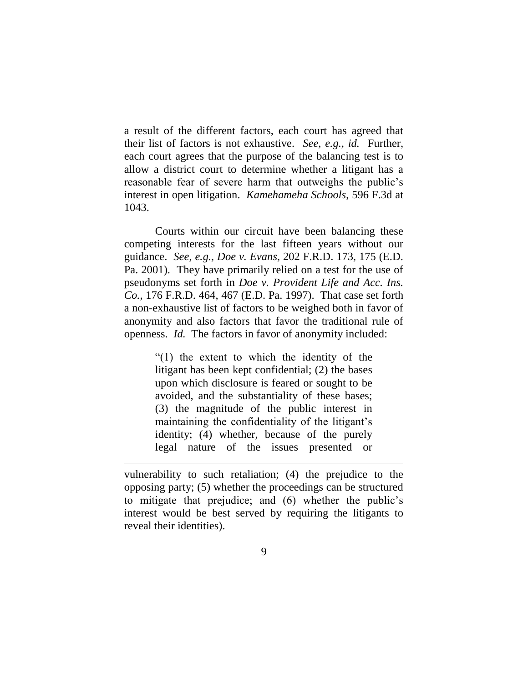a result of the different factors, each court has agreed that their list of factors is not exhaustive. *See*, *e.g.*, *id.* Further, each court agrees that the purpose of the balancing test is to allow a district court to determine whether a litigant has a reasonable fear of severe harm that outweighs the public"s interest in open litigation. *Kamehameha Schools*, 596 F.3d at 1043.

Courts within our circuit have been balancing these competing interests for the last fifteen years without our guidance. *See*, *e.g.*, *Doe v. Evans*, 202 F.R.D. 173, 175 (E.D. Pa. 2001). They have primarily relied on a test for the use of pseudonyms set forth in *Doe v. Provident Life and Acc. Ins. Co.*, 176 F.R.D. 464, 467 (E.D. Pa. 1997). That case set forth a non-exhaustive list of factors to be weighed both in favor of anonymity and also factors that favor the traditional rule of openness. *Id.* The factors in favor of anonymity included:

> "(1) the extent to which the identity of the litigant has been kept confidential; (2) the bases upon which disclosure is feared or sought to be avoided, and the substantiality of these bases; (3) the magnitude of the public interest in maintaining the confidentiality of the litigant's identity; (4) whether, because of the purely legal nature of the issues presented or

vulnerability to such retaliation; (4) the prejudice to the opposing party; (5) whether the proceedings can be structured to mitigate that prejudice; and (6) whether the public"s interest would be best served by requiring the litigants to reveal their identities).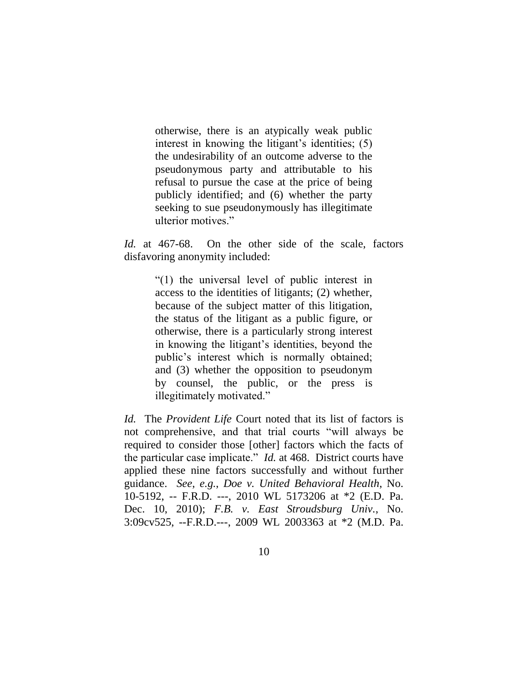otherwise, there is an atypically weak public interest in knowing the litigant's identities;  $(5)$ the undesirability of an outcome adverse to the pseudonymous party and attributable to his refusal to pursue the case at the price of being publicly identified; and (6) whether the party seeking to sue pseudonymously has illegitimate ulterior motives."

*Id.* at 467-68. On the other side of the scale, factors disfavoring anonymity included:

> "(1) the universal level of public interest in access to the identities of litigants; (2) whether, because of the subject matter of this litigation, the status of the litigant as a public figure, or otherwise, there is a particularly strong interest in knowing the litigant"s identities, beyond the public"s interest which is normally obtained; and (3) whether the opposition to pseudonym by counsel, the public, or the press is illegitimately motivated."

*Id.* The *Provident Life* Court noted that its list of factors is not comprehensive, and that trial courts "will always be required to consider those [other] factors which the facts of the particular case implicate." *Id.* at 468. District courts have applied these nine factors successfully and without further guidance. *See*, *e.g.*, *Doe v. United Behavioral Health*, No. 10-5192, -- F.R.D. ---, 2010 WL 5173206 at \*2 (E.D. Pa. Dec. 10, 2010); *F.B. v. East Stroudsburg Univ.*, No. 3:09cv525, --F.R.D.---, 2009 WL 2003363 at \*2 (M.D. Pa.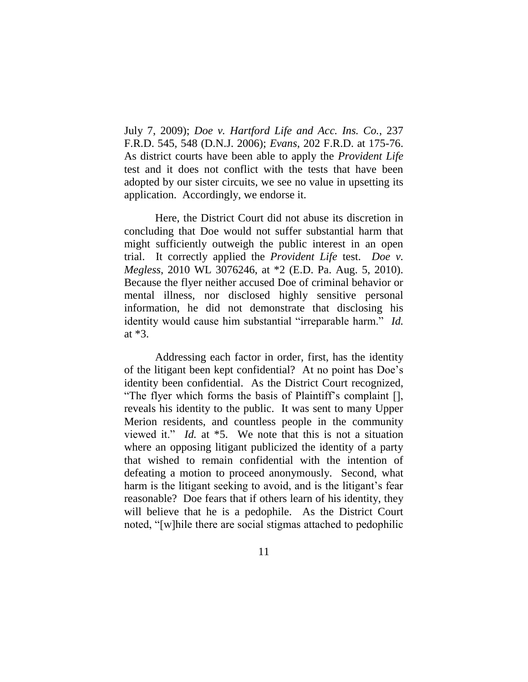July 7, 2009); *Doe v. Hartford Life and Acc. Ins. Co.*, 237 F.R.D. 545, 548 (D.N.J. 2006); *Evans*, 202 F.R.D. at 175-76. As district courts have been able to apply the *Provident Life*  test and it does not conflict with the tests that have been adopted by our sister circuits, we see no value in upsetting its application. Accordingly, we endorse it.

Here, the District Court did not abuse its discretion in concluding that Doe would not suffer substantial harm that might sufficiently outweigh the public interest in an open trial. It correctly applied the *Provident Life* test. *Doe v. Megless*, 2010 WL 3076246, at \*2 (E.D. Pa. Aug. 5, 2010). Because the flyer neither accused Doe of criminal behavior or mental illness, nor disclosed highly sensitive personal information, he did not demonstrate that disclosing his identity would cause him substantial "irreparable harm." *Id.* at \*3.

Addressing each factor in order, first, has the identity of the litigant been kept confidential? At no point has Doe"s identity been confidential. As the District Court recognized, "The flyer which forms the basis of Plaintiff"s complaint [], reveals his identity to the public. It was sent to many Upper Merion residents, and countless people in the community viewed it." *Id.* at \*5. We note that this is not a situation where an opposing litigant publicized the identity of a party that wished to remain confidential with the intention of defeating a motion to proceed anonymously. Second, what harm is the litigant seeking to avoid, and is the litigant's fear reasonable? Doe fears that if others learn of his identity, they will believe that he is a pedophile. As the District Court noted, "[w]hile there are social stigmas attached to pedophilic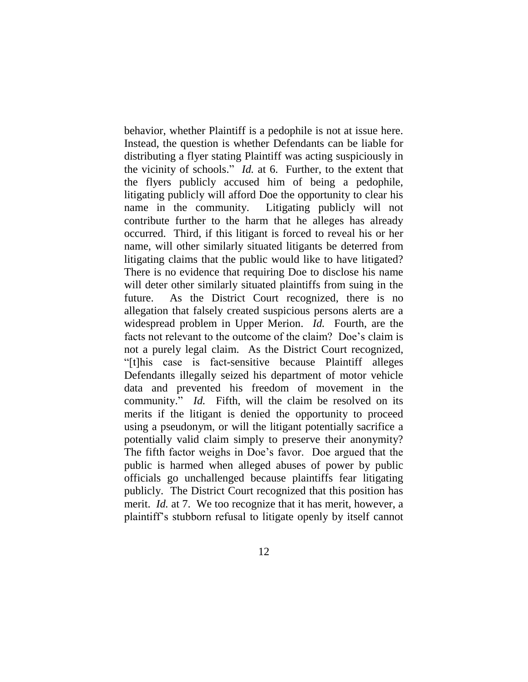behavior, whether Plaintiff is a pedophile is not at issue here. Instead, the question is whether Defendants can be liable for distributing a flyer stating Plaintiff was acting suspiciously in the vicinity of schools." *Id.* at 6. Further, to the extent that the flyers publicly accused him of being a pedophile, litigating publicly will afford Doe the opportunity to clear his name in the community. Litigating publicly will not contribute further to the harm that he alleges has already occurred. Third, if this litigant is forced to reveal his or her name, will other similarly situated litigants be deterred from litigating claims that the public would like to have litigated? There is no evidence that requiring Doe to disclose his name will deter other similarly situated plaintiffs from suing in the future. As the District Court recognized, there is no allegation that falsely created suspicious persons alerts are a widespread problem in Upper Merion. *Id.* Fourth, are the facts not relevant to the outcome of the claim? Doe's claim is not a purely legal claim. As the District Court recognized, "[t]his case is fact-sensitive because Plaintiff alleges Defendants illegally seized his department of motor vehicle data and prevented his freedom of movement in the community." *Id.* Fifth, will the claim be resolved on its merits if the litigant is denied the opportunity to proceed using a pseudonym, or will the litigant potentially sacrifice a potentially valid claim simply to preserve their anonymity? The fifth factor weighs in Doe's favor. Doe argued that the public is harmed when alleged abuses of power by public officials go unchallenged because plaintiffs fear litigating publicly. The District Court recognized that this position has merit. *Id.* at 7. We too recognize that it has merit, however, a plaintiff"s stubborn refusal to litigate openly by itself cannot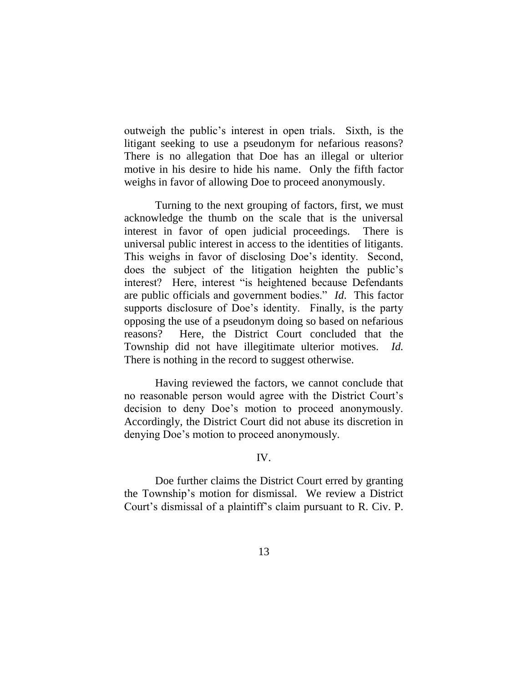outweigh the public"s interest in open trials. Sixth, is the litigant seeking to use a pseudonym for nefarious reasons? There is no allegation that Doe has an illegal or ulterior motive in his desire to hide his name. Only the fifth factor weighs in favor of allowing Doe to proceed anonymously.

Turning to the next grouping of factors, first, we must acknowledge the thumb on the scale that is the universal interest in favor of open judicial proceedings. There is universal public interest in access to the identities of litigants. This weighs in favor of disclosing Doe"s identity. Second, does the subject of the litigation heighten the public"s interest? Here, interest "is heightened because Defendants are public officials and government bodies." *Id*. This factor supports disclosure of Doe's identity. Finally, is the party opposing the use of a pseudonym doing so based on nefarious reasons? Here, the District Court concluded that the Township did not have illegitimate ulterior motives. *Id.* There is nothing in the record to suggest otherwise.

Having reviewed the factors, we cannot conclude that no reasonable person would agree with the District Court"s decision to deny Doe"s motion to proceed anonymously. Accordingly, the District Court did not abuse its discretion in denying Doe"s motion to proceed anonymously.

### IV.

Doe further claims the District Court erred by granting the Township"s motion for dismissal. We review a District Court"s dismissal of a plaintiff"s claim pursuant to R. Civ. P.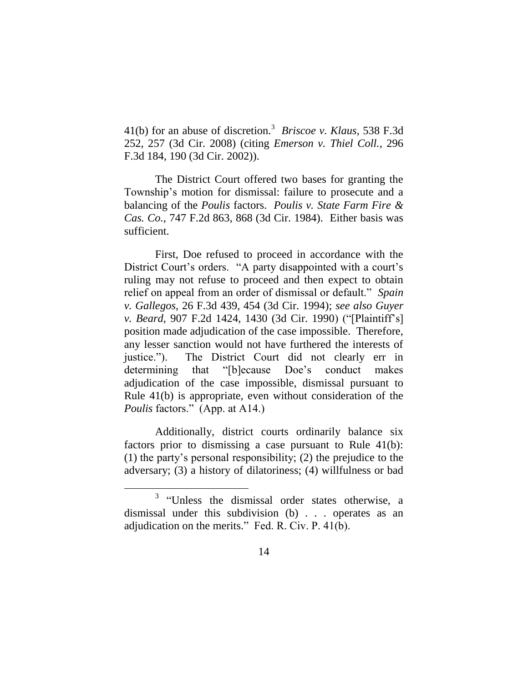41(b) for an abuse of discretion.<sup>3</sup> *Briscoe v. Klaus*, 538 F.3d 252, 257 (3d Cir. 2008) (citing *Emerson v. Thiel Coll.*, 296 F.3d 184, 190 (3d Cir. 2002)).

The District Court offered two bases for granting the Township"s motion for dismissal: failure to prosecute and a balancing of the *Poulis* factors. *Poulis v. State Farm Fire & Cas. Co.*, 747 F.2d 863, 868 (3d Cir. 1984). Either basis was sufficient.

First, Doe refused to proceed in accordance with the District Court's orders. "A party disappointed with a court's ruling may not refuse to proceed and then expect to obtain relief on appeal from an order of dismissal or default." *Spain v. Gallegos*, 26 F.3d 439, 454 (3d Cir. 1994); *see also Guyer v. Beard*, 907 F.2d 1424, 1430 (3d Cir. 1990) ("[Plaintiff"s] position made adjudication of the case impossible. Therefore, any lesser sanction would not have furthered the interests of justice."). The District Court did not clearly err in determining that "[b]ecause Doe's conduct makes adjudication of the case impossible, dismissal pursuant to Rule 41(b) is appropriate, even without consideration of the *Poulis* factors." (App. at A14.)

Additionally, district courts ordinarily balance six factors prior to dismissing a case pursuant to Rule 41(b): (1) the party"s personal responsibility; (2) the prejudice to the adversary; (3) a history of dilatoriness; (4) willfulness or bad

<sup>&</sup>lt;sup>3</sup> "Unless the dismissal order states otherwise, a dismissal under this subdivision (b) . . . operates as an adjudication on the merits." Fed. R. Civ. P. 41(b).